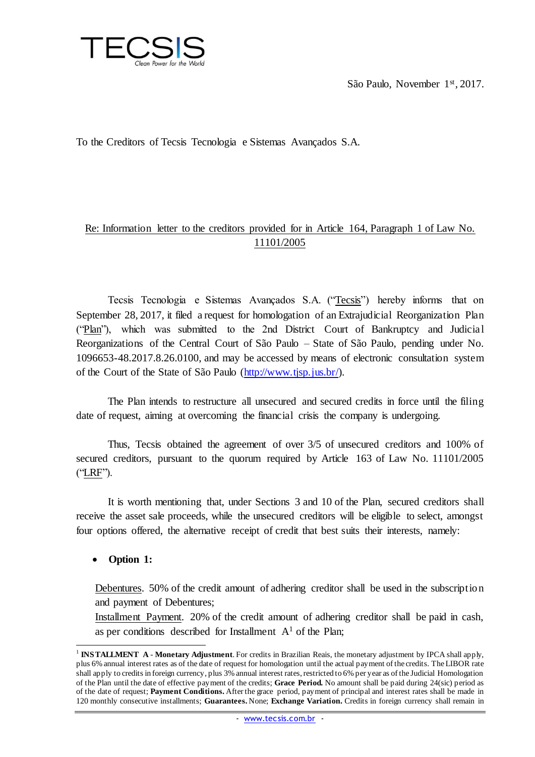

São Paulo, November 1st, 2017.

To the Creditors of Tecsis Tecnologia e Sistemas Avançados S.A.

# Re: Information letter to the creditors provided for in Article 164, Paragraph 1 of Law No. 11101/2005

Tecsis Tecnologia e Sistemas Avançados S.A. ("Tecsis") hereby informs that on September 28, 2017, it filed a request for homologation of an Extrajudicial Reorganization Plan ("Plan"), which was submitted to the 2nd District Court of Bankruptcy and Judicial Reorganizations of the Central Court of São Paulo – State of São Paulo, pending under No. 1096653-48.2017.8.26.0100, and may be accessed by means of electronic consultation system of the Court of the State of São Paulo [\(http://www.tjsp.jus.br/\).](http://www.tjsp.jus.br/)

The Plan intends to restructure all unsecured and secured credits in force until the filing date of request, aiming at overcoming the financial crisis the company is undergoing.

Thus, Tecsis obtained the agreement of over 3/5 of unsecured creditors and 100% of secured creditors, pursuant to the quorum required by Article 163 of Law No. 11101/2005 ("LRF").

It is worth mentioning that, under Sections 3 and 10 of the Plan, secured creditors shall receive the asset sale proceeds, while the unsecured creditors will be eligible to select, amongst four options offered, the alternative receipt of credit that best suits their interests, namely:

#### **Option 1:**

Debentures. 50% of the credit amount of adhering creditor shall be used in the subscription and payment of Debentures;

Installment Payment. 20% of the credit amount of adhering creditor shall be paid in cash, as per conditions described for Installment  $A<sup>1</sup>$  of the Plan;

 $\overline{a}$ 1 **INSTALLMENT A** - **Monetary Adjustment**. For credits in Brazilian Reais, the monetary adjustment by IPCA shall apply, plus 6% annual interest rates as of the date of request for homologation until the actual payment of the credits. The LIBOR rate shall apply to credits in foreign currency, plus 3% annual interest rates, restricted to 6% per year as of the Judicial Homologation of the Plan until the date of effective payment of the credits; **Grace Period.** No amount shall be paid during 24(sic) period as of the date of request; **Payment Conditions.** After the grace period, payment of principal and interest rates shall be made in 120 monthly consecutive installments; **Guarantees.** None; **Exchange Variation.** Credits in foreign currency shall remain in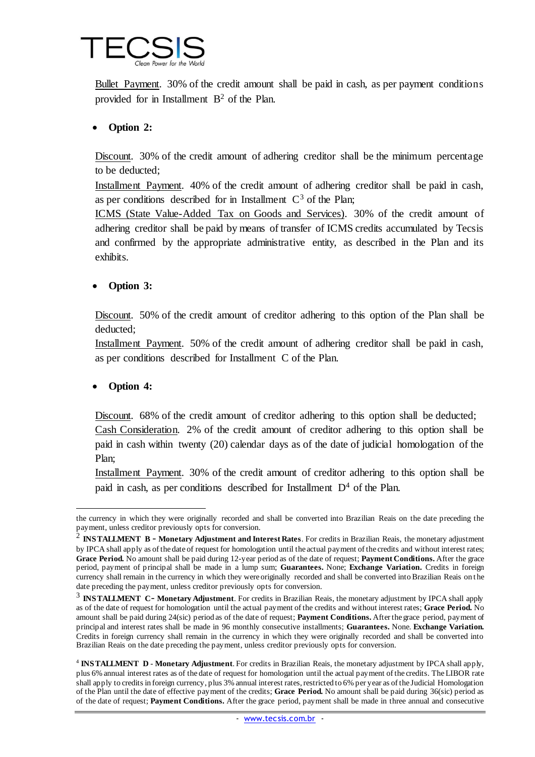

Bullet Payment. 30% of the credit amount shall be paid in cash, as per payment conditions provided for in Installment  $B<sup>2</sup>$  of the Plan.

### **Option 2:**

Discount. 30% of the credit amount of adhering creditor shall be the minimum percentage to be deducted;

Installment Payment. 40% of the credit amount of adhering creditor shall be paid in cash, as per conditions described for in Installment  $C<sup>3</sup>$  of the Plan;

ICMS (State Value-Added Tax on Goods and Services). 30% of the credit amount of adhering creditor shall be paid by means of transfer of ICMS credits accumulated by Tecsis and confirmed by the appropriate administrative entity, as described in the Plan and its exhibits.

#### **Option 3:**

Discount. 50% of the credit amount of creditor adhering to this option of the Plan shall be deducted;

Installment Payment. 50% of the credit amount of adhering creditor shall be paid in cash, as per conditions described for Installment C of the Plan.

#### **Option 4:**

 $\overline{a}$ 

Discount. 68% of the credit amount of creditor adhering to this option shall be deducted; Cash Consideration. 2% of the credit amount of creditor adhering to this option shall be paid in cash within twenty (20) calendar days as of the date of judicial homologation of the Plan;

Installment Payment. 30% of the credit amount of creditor adhering to this option shall be paid in cash, as per conditions described for Installment  $D<sup>4</sup>$  of the Plan.

the currency in which they were originally recorded and shall be converted into Brazilian Reais on the date preceding the payment, unless creditor previously opts for conversion.

<sup>2</sup> **INSTALLMENT B** - **Monetary Adjustment and Interest Rates**. For credits in Brazilian Reais, the monetary adjustment by IPCA shall apply as of the date of request for homologation until the actual payment of the credits and without interest rates; **Grace Period.** No amount shall be paid during 12-year period as of the date of request; **Payment Conditions.** After the grace period, payment of principal shall be made in a lump sum; **Guarantees.** None; **Exchange Variation.** Credits in foreign currency shall remain in the currency in which they were originally recorded and shall be converted into Brazilian Reais on the date preceding the payment, unless creditor previously opts for conversion.

<sup>&</sup>lt;sup>3</sup> **INSTALLMENT C- Monetary Adjustment**. For credits in Brazilian Reais, the monetary adjustment by IPCA shall apply as of the date of request for homologation until the actual payment of the credits and without interest rates; **Grace Period.** No amount shall be paid during 24(sic) period as of the date of request; **Payment Conditions.** After the grace period, payment of principal and interest rates shall be made in 96 monthly consecutive installments; **Guarantees.** None. **Exchange Variation.** Credits in foreign currency shall remain in the currency in which they were originally recorded and shall be converted into Brazilian Reais on the date preceding the payment, unless creditor previously opts for conversion.

<sup>4</sup> **INSTALLMENT D** - **Monetary Adjustment**. For credits in Brazilian Reais, the monetary adjustment by IPCA shall apply, plus 6% annual interest rates as of the date of request for homologation until the actual payment of the credits. The LIBOR rate shall apply to credits in foreign currency, plus 3% annual interest rates, restricted to 6% per year as of the Judicial Homologation of the Plan until the date of effective payment of the credits; **Grace Period.** No amount shall be paid during 36(sic) period as of the date of request; **Payment Conditions.** After the grace period, payment shall be made in three annual and consecutive